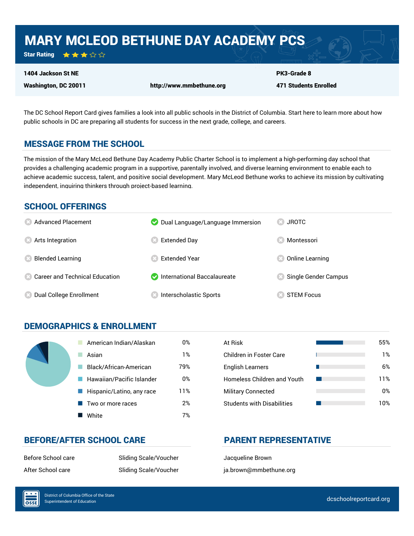## MARY MCLEOD BETHUNE DAY ACADEMY PCS

★★★☆☆ Star Rating

#### 1404 Jackson St NE

Washington, DC 20011 http://www.mmbethune.org

471 Students Enrolled

PK3-Grade 8

The DC School Report Card gives families a look into all public schools in the District of Columbia. Start here to learn more about how public schools in DC are preparing all students for success in the next grade, college, and careers.

## MESSAGE FROM THE SCHOOL

The mission of the Mary McLeod Bethune Day Academy Public Charter School is to implement a high-performing day school that provides a challenging academic program in a supportive, parentally involved, and diverse learning environment to enable each to achieve academic success, talent, and positive social development. Mary McLeod Bethune works to achieve its mission by cultivating independent, inquiring thinkers through project-based learning.

## SCHOOL OFFERINGS

| <b>8</b> Advanced Placement       | Dual Language/Language Immersion | <b>JROTC</b>         |
|-----------------------------------|----------------------------------|----------------------|
| <b>8</b> Arts Integration         | Extended Day                     | Montessori           |
| <b>Blended Learning</b>           | <b>Extended Year</b>             | Online Learning      |
| 23 Career and Technical Education | International Baccalaureate      | Single Gender Campus |
| <b>8</b> Dual College Enrollment  | <b>Interscholastic Sports</b>    | <b>STEM Focus</b>    |

## DEMOGRAPHICS & ENROLLMENT

| American Indian/Alaskan   | 0%  | At Risk                            |
|---------------------------|-----|------------------------------------|
| Asian                     | 1%  | <b>Children in Foster Care</b>     |
| Black/African-American    | 79% | <b>English Learners</b>            |
| Hawaiian/Pacific Islander | 0%  | <b>Homeless Children and Youth</b> |
| Hispanic/Latino, any race | 11% | <b>Military Connected</b>          |
| Two or more races         | 2%  | <b>Students with Disabilities</b>  |
| White                     | 7%  |                                    |

| At Risk                           | 55% |
|-----------------------------------|-----|
| Children in Foster Care           | 1%  |
| <b>English Learners</b>           | 6%  |
| Homeless Children and Youth       | 11% |
| <b>Military Connected</b>         | 0%  |
| <b>Students with Disabilities</b> | 10% |

## BEFORE/AFTER SCHOOL CARE PARENT REPRESENTATIVE

 $\overline{\text{OSE}}$ 

Before School care Sliding Scale/Voucher Slacqueline Brown

After School care The Sliding Scale/Voucher The Single and Scale/Voucher and Single and Scale and Scale and Si